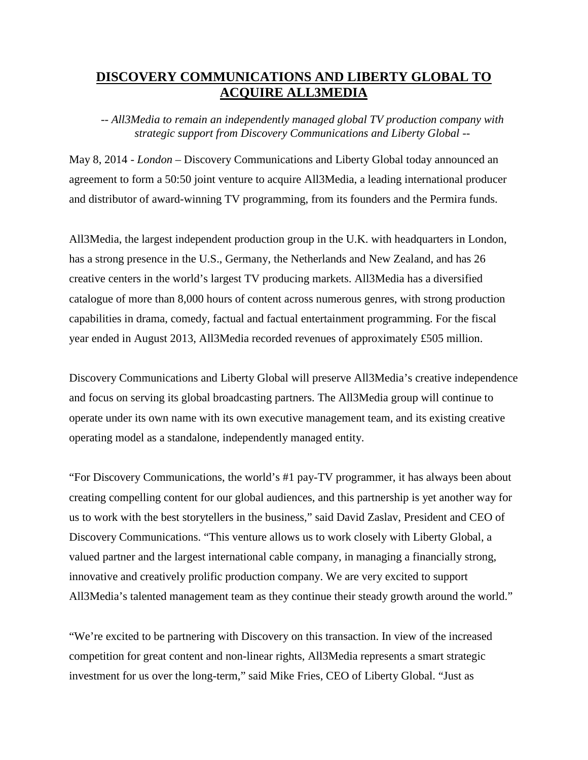# **DISCOVERY COMMUNICATIONS AND LIBERTY GLOBAL TO ACQUIRE ALL3MEDIA**

*-- All3Media to remain an independently managed global TV production company with strategic support from Discovery Communications and Liberty Global --*

May 8, 2014 - *London* – Discovery Communications and Liberty Global today announced an agreement to form a 50:50 joint venture to acquire All3Media, a leading international producer and distributor of award-winning TV programming, from its founders and the Permira funds.

All3Media, the largest independent production group in the U.K. with headquarters in London, has a strong presence in the U.S., Germany, the Netherlands and New Zealand, and has 26 creative centers in the world's largest TV producing markets. All3Media has a diversified catalogue of more than 8,000 hours of content across numerous genres, with strong production capabilities in drama, comedy, factual and factual entertainment programming. For the fiscal year ended in August 2013, All3Media recorded revenues of approximately £505 million.

Discovery Communications and Liberty Global will preserve All3Media's creative independence and focus on serving its global broadcasting partners. The All3Media group will continue to operate under its own name with its own executive management team, and its existing creative operating model as a standalone, independently managed entity.

"For Discovery Communications, the world's #1 pay-TV programmer, it has always been about creating compelling content for our global audiences, and this partnership is yet another way for us to work with the best storytellers in the business," said David Zaslav, President and CEO of Discovery Communications. "This venture allows us to work closely with Liberty Global, a valued partner and the largest international cable company, in managing a financially strong, innovative and creatively prolific production company. We are very excited to support All3Media's talented management team as they continue their steady growth around the world."

"We're excited to be partnering with Discovery on this transaction. In view of the increased competition for great content and non-linear rights, All3Media represents a smart strategic investment for us over the long-term," said Mike Fries, CEO of Liberty Global. "Just as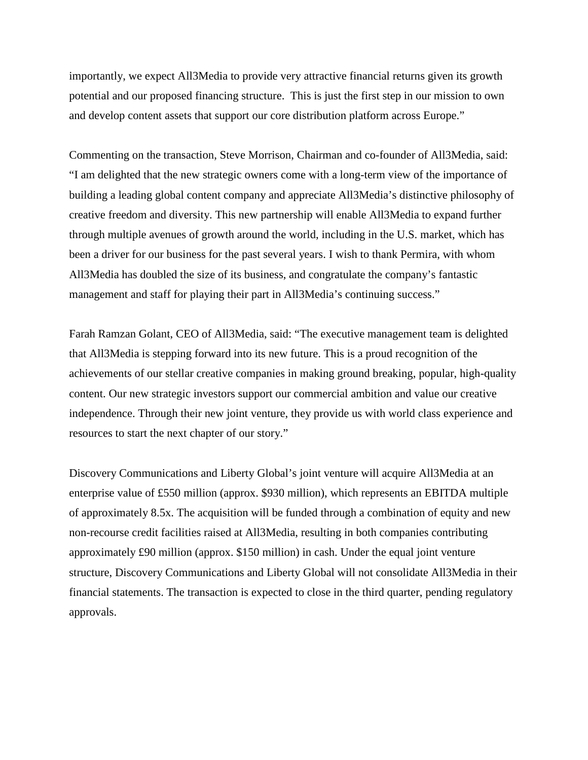importantly, we expect All3Media to provide very attractive financial returns given its growth potential and our proposed financing structure. This is just the first step in our mission to own and develop content assets that support our core distribution platform across Europe."

Commenting on the transaction, Steve Morrison, Chairman and co-founder of All3Media, said: "I am delighted that the new strategic owners come with a long-term view of the importance of building a leading global content company and appreciate All3Media's distinctive philosophy of creative freedom and diversity. This new partnership will enable All3Media to expand further through multiple avenues of growth around the world, including in the U.S. market, which has been a driver for our business for the past several years. I wish to thank Permira, with whom All3Media has doubled the size of its business, and congratulate the company's fantastic management and staff for playing their part in All3Media's continuing success."

Farah Ramzan Golant, CEO of All3Media, said: "The executive management team is delighted that All3Media is stepping forward into its new future. This is a proud recognition of the achievements of our stellar creative companies in making ground breaking, popular, high-quality content. Our new strategic investors support our commercial ambition and value our creative independence. Through their new joint venture, they provide us with world class experience and resources to start the next chapter of our story."

Discovery Communications and Liberty Global's joint venture will acquire All3Media at an enterprise value of £550 million (approx. \$930 million), which represents an EBITDA multiple of approximately 8.5x. The acquisition will be funded through a combination of equity and new non-recourse credit facilities raised at All3Media, resulting in both companies contributing approximately £90 million (approx. \$150 million) in cash. Under the equal joint venture structure, Discovery Communications and Liberty Global will not consolidate All3Media in their financial statements. The transaction is expected to close in the third quarter, pending regulatory approvals.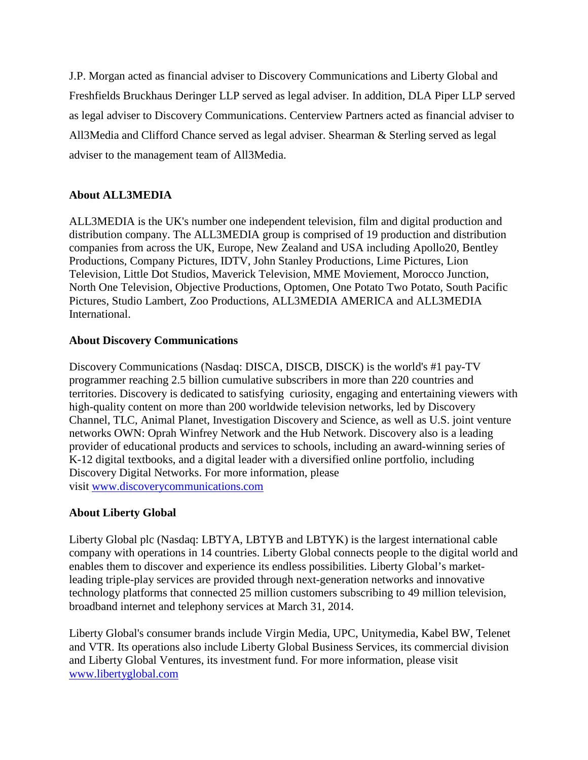J.P. Morgan acted as financial adviser to Discovery Communications and Liberty Global and Freshfields Bruckhaus Deringer LLP served as legal adviser. In addition, DLA Piper LLP served as legal adviser to Discovery Communications. Centerview Partners acted as financial adviser to All3Media and Clifford Chance served as legal adviser. Shearman & Sterling served as legal adviser to the management team of All3Media.

## **About ALL3MEDIA**

ALL3MEDIA is the UK's number one independent television, film and digital production and distribution company. The ALL3MEDIA group is comprised of 19 production and distribution companies from across the UK, Europe, New Zealand and USA including Apollo20, Bentley Productions, Company Pictures, IDTV, John Stanley Productions, Lime Pictures, Lion Television, Little Dot Studios, Maverick Television, MME Moviement, Morocco Junction, North One Television, Objective Productions, Optomen, One Potato Two Potato, South Pacific Pictures, Studio Lambert, Zoo Productions, ALL3MEDIA AMERICA and ALL3MEDIA International.

## **About Discovery Communications**

Discovery Communications (Nasdaq: DISCA, DISCB, DISCK) is the world's #1 pay-TV programmer reaching 2.5 billion cumulative subscribers in more than 220 countries and territories. Discovery is dedicated to satisfying curiosity, engaging and entertaining viewers with high-quality content on more than 200 worldwide television networks, led by Discovery Channel, TLC, Animal Planet, Investigation Discovery and Science, as well as U.S. joint venture networks OWN: Oprah Winfrey Network and the Hub Network. Discovery also is a leading provider of educational products and services to schools, including an award-winning series of K-12 digital textbooks, and a digital leader with a diversified online portfolio, including Discovery Digital Networks. For more information, please visit [www.discoverycommunications.com](http://www.discoverycommunications.com/)

## **About Liberty Global**

Liberty Global plc (Nasdaq: LBTYA, LBTYB and LBTYK) is the largest international cable company with operations in 14 countries. Liberty Global connects people to the digital world and enables them to discover and experience its endless possibilities. Liberty Global's marketleading triple-play services are provided through next-generation networks and innovative technology platforms that connected 25 million customers subscribing to 49 million television, broadband internet and telephony services at March 31, 2014.

Liberty Global's consumer brands include Virgin Media, UPC, Unitymedia, Kabel BW, Telenet and VTR. Its operations also include Liberty Global Business Services, its commercial division and Liberty Global Ventures, its investment fund. For more information, please visit [www.libertyglobal.com](http://www.libertyglobal.com/)